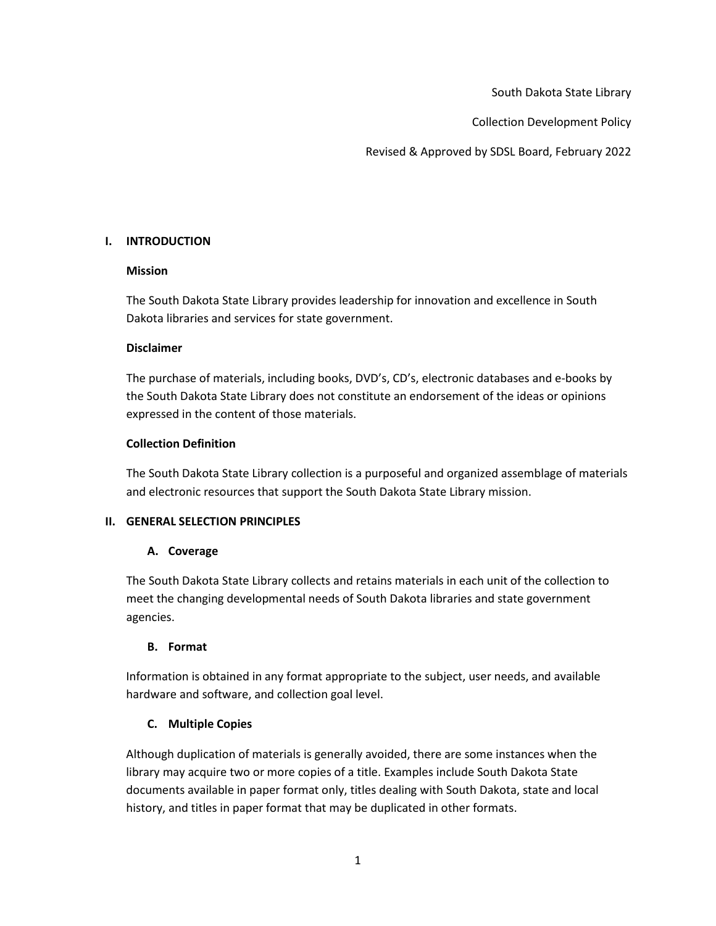South Dakota State Library

Collection Development Policy

Revised & Approved by SDSL Board, February 2022

### **I. INTRODUCTION**

### **Mission**

The South Dakota State Library provides leadership for innovation and excellence in South Dakota libraries and services for state government.

### **Disclaimer**

The purchase of materials, including books, DVD's, CD's, electronic databases and e-books by the South Dakota State Library does not constitute an endorsement of the ideas or opinions expressed in the content of those materials.

## **Collection Definition**

The South Dakota State Library collection is a purposeful and organized assemblage of materials and electronic resources that support the South Dakota State Library mission.

## **II. GENERAL SELECTION PRINCIPLES**

## **A. Coverage**

The South Dakota State Library collects and retains materials in each unit of the collection to meet the changing developmental needs of South Dakota libraries and state government agencies.

## **B. Format**

Information is obtained in any format appropriate to the subject, user needs, and available hardware and software, and collection goal level.

## **C. Multiple Copies**

Although duplication of materials is generally avoided, there are some instances when the library may acquire two or more copies of a title. Examples include South Dakota State documents available in paper format only, titles dealing with South Dakota, state and local history, and titles in paper format that may be duplicated in other formats.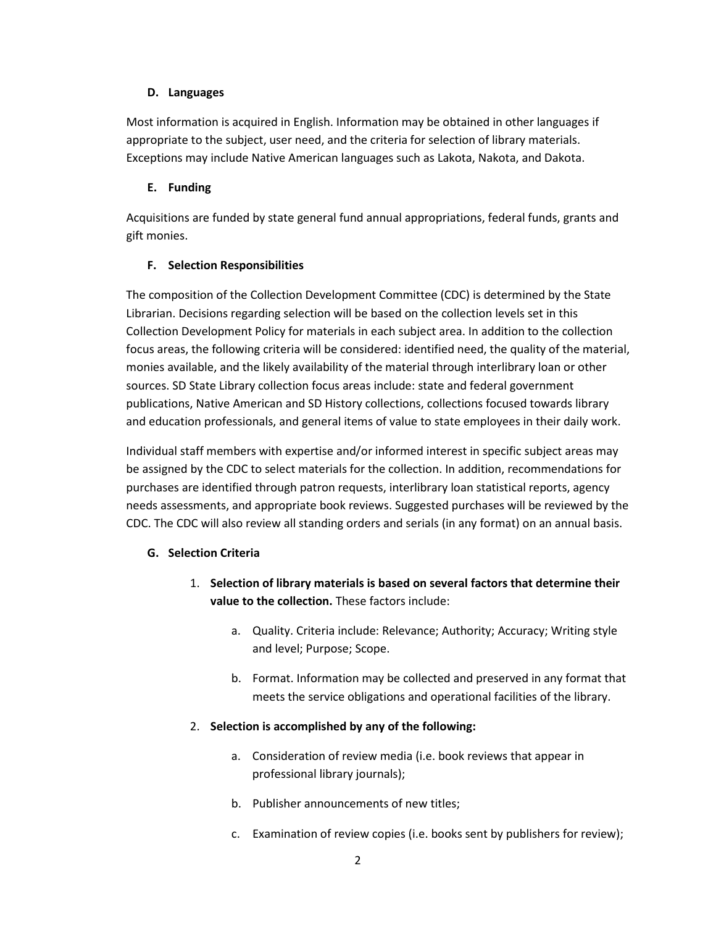### **D. Languages**

Most information is acquired in English. Information may be obtained in other languages if appropriate to the subject, user need, and the criteria for selection of library materials. Exceptions may include Native American languages such as Lakota, Nakota, and Dakota.

## **E. Funding**

Acquisitions are funded by state general fund annual appropriations, federal funds, grants and gift monies.

## **F. Selection Responsibilities**

The composition of the Collection Development Committee (CDC) is determined by the State Librarian. Decisions regarding selection will be based on the collection levels set in this Collection Development Policy for materials in each subject area. In addition to the collection focus areas, the following criteria will be considered: identified need, the quality of the material, monies available, and the likely availability of the material through interlibrary loan or other sources. SD State Library collection focus areas include: state and federal government publications, Native American and SD History collections, collections focused towards library and education professionals, and general items of value to state employees in their daily work.

Individual staff members with expertise and/or informed interest in specific subject areas may be assigned by the CDC to select materials for the collection. In addition, recommendations for purchases are identified through patron requests, interlibrary loan statistical reports, agency needs assessments, and appropriate book reviews. Suggested purchases will be reviewed by the CDC. The CDC will also review all standing orders and serials (in any format) on an annual basis.

# **G. Selection Criteria**

- 1. **Selection of library materials is based on several factors that determine their value to the collection.** These factors include:
	- a. Quality. Criteria include: Relevance; Authority; Accuracy; Writing style and level; Purpose; Scope.
	- b. Format. Information may be collected and preserved in any format that meets the service obligations and operational facilities of the library.
- 2. **Selection is accomplished by any of the following:**
	- a. Consideration of review media (i.e. book reviews that appear in professional library journals);
	- b. Publisher announcements of new titles;
	- c. Examination of review copies (i.e. books sent by publishers for review);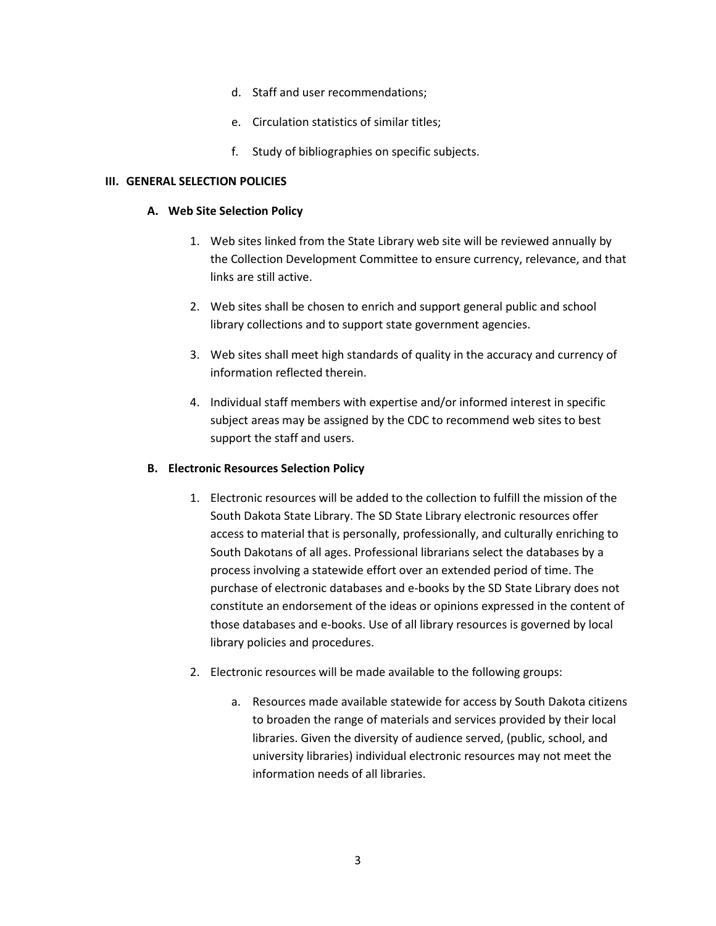- d. Staff and user recommendations;
- e. Circulation statistics of similar titles;
- f. Study of bibliographies on specific subjects.

#### **III. GENERAL SELECTION POLICIES**

#### **A. Web Site Selection Policy**

- 1. Web sites linked from the State Library web site will be reviewed annually by the Collection Development Committee to ensure currency, relevance, and that links are still active.
- 2. Web sites shall be chosen to enrich and support general public and school library collections and to support state government agencies.
- 3. Web sites shall meet high standards of quality in the accuracy and currency of information reflected therein.
- 4. Individual staff members with expertise and/or informed interest in specific subject areas may be assigned by the CDC to recommend web sites to best support the staff and users.

#### **B. Electronic Resources Selection Policy**

- 1. Electronic resources will be added to the collection to fulfill the mission of the South Dakota State Library. The SD State Library electronic resources offer access to material that is personally, professionally, and culturally enriching to South Dakotans of all ages. Professional librarians select the databases by a process involving a statewide effort over an extended period of time. The purchase of electronic databases and e-books by the SD State Library does not constitute an endorsement of the ideas or opinions expressed in the content of those databases and e-books. Use of all library resources is governed by local library policies and procedures.
- 2. Electronic resources will be made available to the following groups:
	- a. Resources made available statewide for access by South Dakota citizens to broaden the range of materials and services provided by their local libraries. Given the diversity of audience served, (public, school, and university libraries) individual electronic resources may not meet the information needs of all libraries.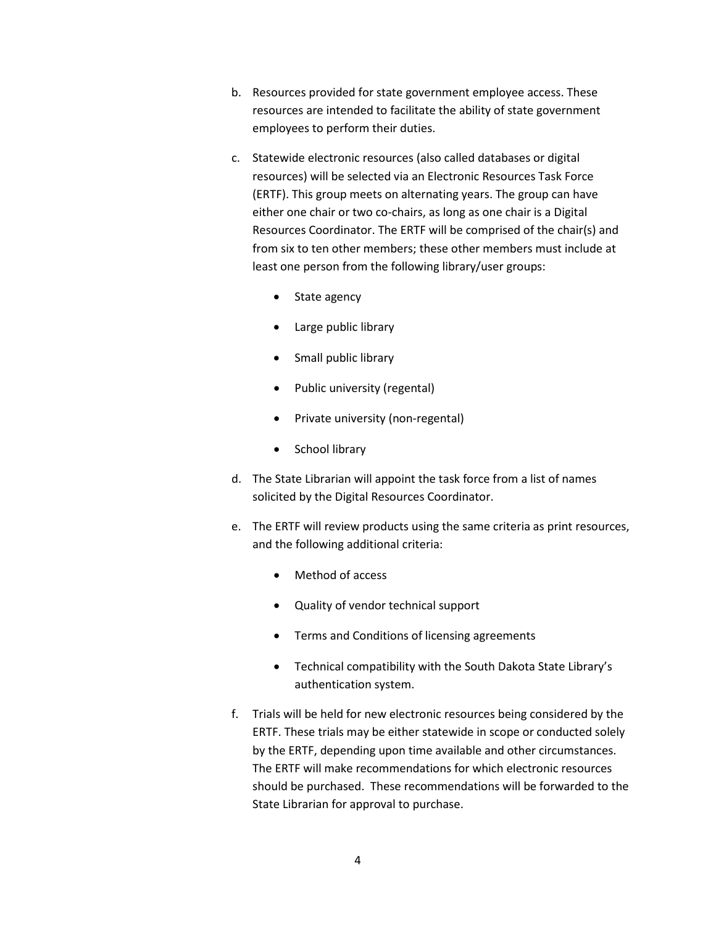- b. Resources provided for state government employee access. These resources are intended to facilitate the ability of state government employees to perform their duties.
- c. Statewide electronic resources (also called databases or digital resources) will be selected via an Electronic Resources Task Force (ERTF). This group meets on alternating years. The group can have either one chair or two co-chairs, as long as one chair is a Digital Resources Coordinator. The ERTF will be comprised of the chair(s) and from six to ten other members; these other members must include at least one person from the following library/user groups:
	- State agency
	- Large public library
	- Small public library
	- Public university (regental)
	- Private university (non-regental)
	- School library
- d. The State Librarian will appoint the task force from a list of names solicited by the Digital Resources Coordinator.
- e. The ERTF will review products using the same criteria as print resources, and the following additional criteria:
	- Method of access
	- Quality of vendor technical support
	- Terms and Conditions of licensing agreements
	- Technical compatibility with the South Dakota State Library's authentication system.
- f. Trials will be held for new electronic resources being considered by the ERTF. These trials may be either statewide in scope or conducted solely by the ERTF, depending upon time available and other circumstances. The ERTF will make recommendations for which electronic resources should be purchased. These recommendations will be forwarded to the State Librarian for approval to purchase.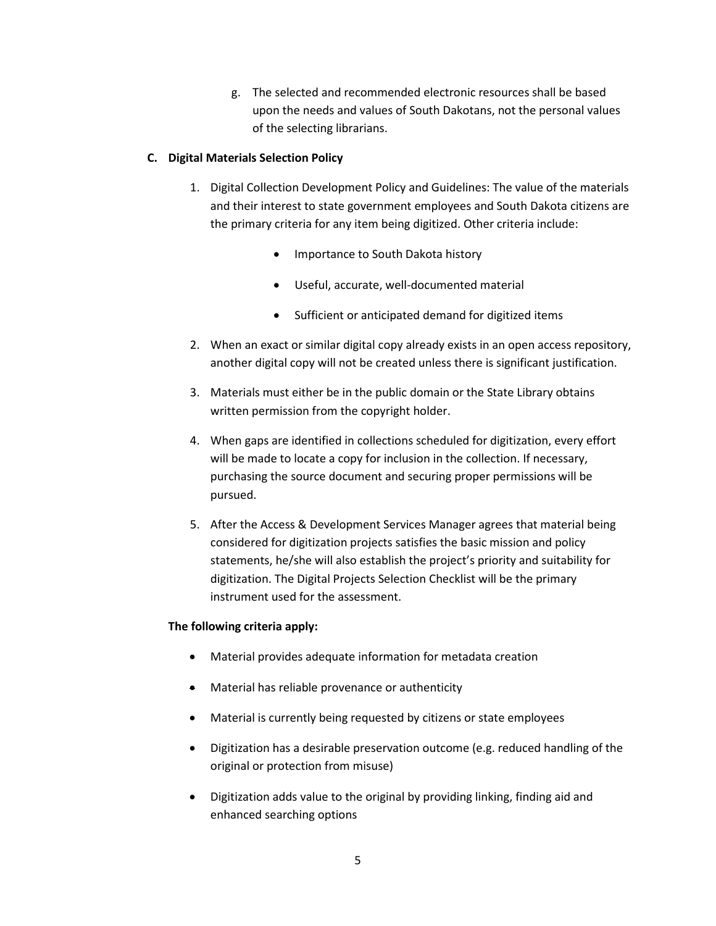g. The selected and recommended electronic resources shall be based upon the needs and values of South Dakotans, not the personal values of the selecting librarians.

### **C. Digital Materials Selection Policy**

- 1. Digital Collection Development Policy and Guidelines: The value of the materials and their interest to state government employees and South Dakota citizens are the primary criteria for any item being digitized. Other criteria include:
	- Importance to South Dakota history
	- Useful, accurate, well-documented material
	- Sufficient or anticipated demand for digitized items
- 2. When an exact or similar digital copy already exists in an open access repository, another digital copy will not be created unless there is significant justification.
- 3. Materials must either be in the public domain or the State Library obtains written permission from the copyright holder.
- 4. When gaps are identified in collections scheduled for digitization, every effort will be made to locate a copy for inclusion in the collection. If necessary, purchasing the source document and securing proper permissions will be pursued.
- 5. After the Access & Development Services Manager agrees that material being considered for digitization projects satisfies the basic mission and policy statements, he/she will also establish the project's priority and suitability for digitization. The Digital Projects Selection Checklist will be the primary instrument used for the assessment.

### **The following criteria apply:**

- Material provides adequate information for metadata creation
- Material has reliable provenance or authenticity
- Material is currently being requested by citizens or state employees
- Digitization has a desirable preservation outcome (e.g. reduced handling of the original or protection from misuse)
- Digitization adds value to the original by providing linking, finding aid and enhanced searching options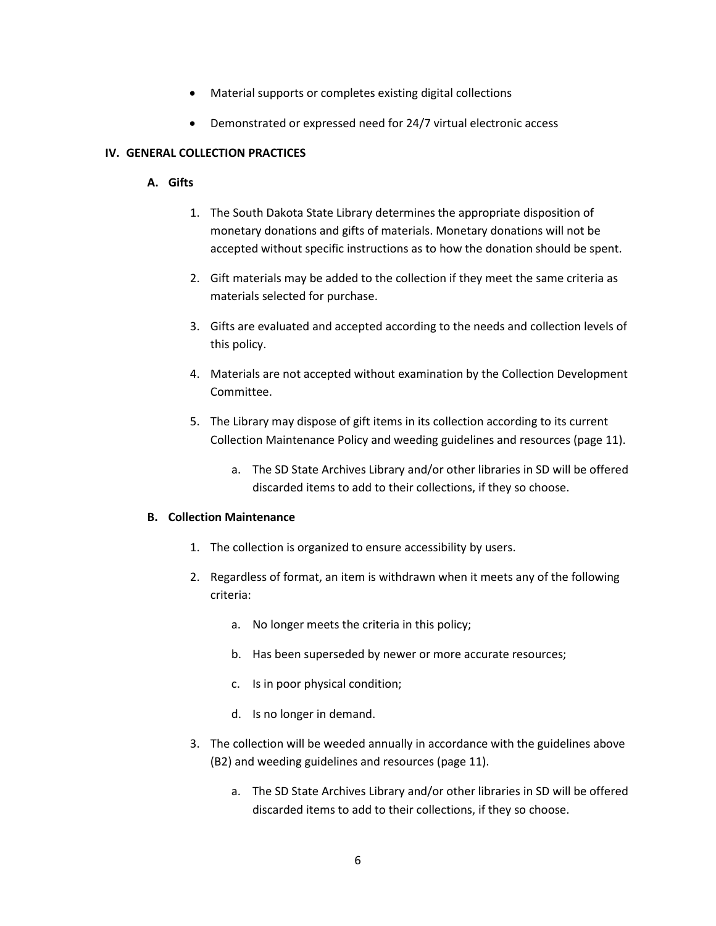- Material supports or completes existing digital collections
- Demonstrated or expressed need for 24/7 virtual electronic access

### **IV. GENERAL COLLECTION PRACTICES**

### **A. Gifts**

- 1. The South Dakota State Library determines the appropriate disposition of monetary donations and gifts of materials. Monetary donations will not be accepted without specific instructions as to how the donation should be spent.
- 2. Gift materials may be added to the collection if they meet the same criteria as materials selected for purchase.
- 3. Gifts are evaluated and accepted according to the needs and collection levels of this policy.
- 4. Materials are not accepted without examination by the Collection Development Committee.
- 5. The Library may dispose of gift items in its collection according to its current Collection Maintenance Policy and weeding guidelines and resources (page 11).
	- a. The SD State Archives Library and/or other libraries in SD will be offered discarded items to add to their collections, if they so choose.

### **B. Collection Maintenance**

- 1. The collection is organized to ensure accessibility by users.
- 2. Regardless of format, an item is withdrawn when it meets any of the following criteria:
	- a. No longer meets the criteria in this policy;
	- b. Has been superseded by newer or more accurate resources;
	- c. Is in poor physical condition;
	- d. Is no longer in demand.
- 3. The collection will be weeded annually in accordance with the guidelines above (B2) and weeding guidelines and resources (page 11).
	- a. The SD State Archives Library and/or other libraries in SD will be offered discarded items to add to their collections, if they so choose.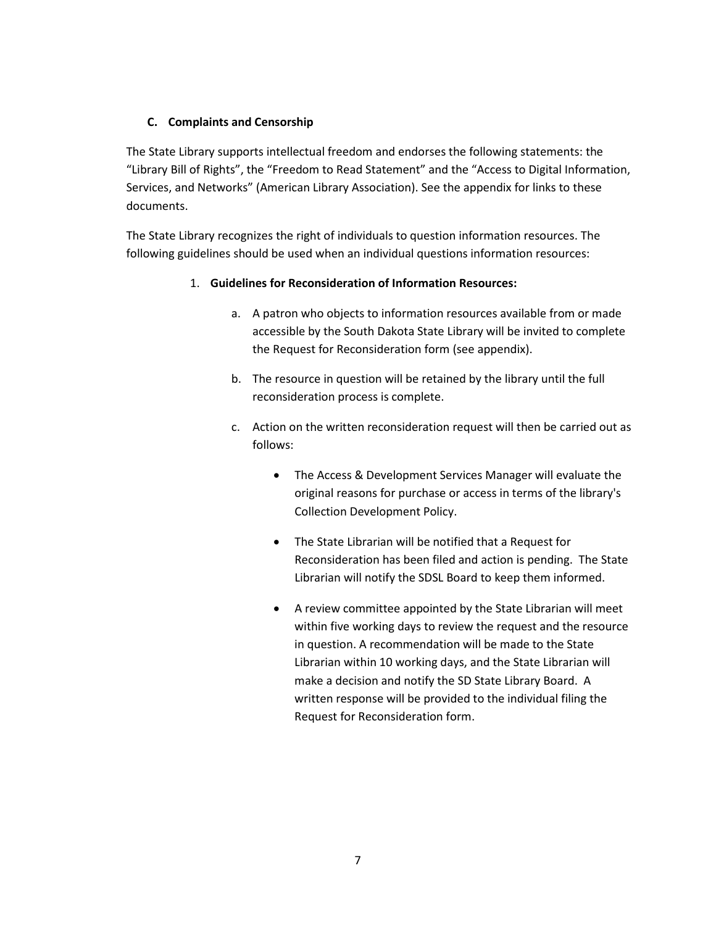### **C. Complaints and Censorship**

The State Library supports intellectual freedom and endorses the following statements: the "Library Bill of Rights", the "Freedom to Read Statement" and the "Access to Digital Information, Services, and Networks" (American Library Association). See the appendix for links to these documents.

The State Library recognizes the right of individuals to question information resources. The following guidelines should be used when an individual questions information resources:

## 1. **Guidelines for Reconsideration of Information Resources:**

- a. A patron who objects to information resources available from or made accessible by the South Dakota State Library will be invited to complete the Request for Reconsideration form (see appendix).
- b. The resource in question will be retained by the library until the full reconsideration process is complete.
- c. Action on the written reconsideration request will then be carried out as follows:
	- The Access & Development Services Manager will evaluate the original reasons for purchase or access in terms of the library's Collection Development Policy.
	- The State Librarian will be notified that a Request for Reconsideration has been filed and action is pending. The State Librarian will notify the SDSL Board to keep them informed.
	- A review committee appointed by the State Librarian will meet within five working days to review the request and the resource in question. A recommendation will be made to the State Librarian within 10 working days, and the State Librarian will make a decision and notify the SD State Library Board. A written response will be provided to the individual filing the Request for Reconsideration form.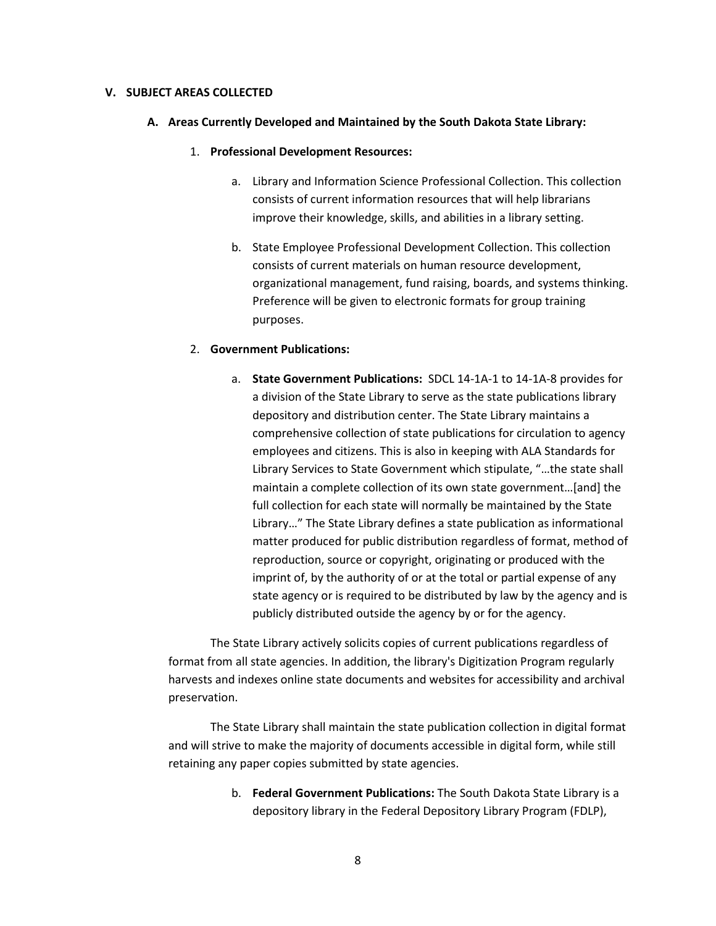#### **V. SUBJECT AREAS COLLECTED**

- **A. Areas Currently Developed and Maintained by the South Dakota State Library:**
	- 1. **Professional Development Resources:**
		- a. Library and Information Science Professional Collection. This collection consists of current information resources that will help librarians improve their knowledge, skills, and abilities in a library setting.
		- b. State Employee Professional Development Collection. This collection consists of current materials on human resource development, organizational management, fund raising, boards, and systems thinking. Preference will be given to electronic formats for group training purposes.

#### 2. **Government Publications:**

a. **State Government Publications:** SDCL 14-1A-1 to 14-1A-8 provides for a division of the State Library to serve as the state publications library depository and distribution center. The State Library maintains a comprehensive collection of state publications for circulation to agency employees and citizens. This is also in keeping with ALA Standards for Library Services to State Government which stipulate, "…the state shall maintain a complete collection of its own state government…[and] the full collection for each state will normally be maintained by the State Library…" The State Library defines a state publication as informational matter produced for public distribution regardless of format, method of reproduction, source or copyright, originating or produced with the imprint of, by the authority of or at the total or partial expense of any state agency or is required to be distributed by law by the agency and is publicly distributed outside the agency by or for the agency.

The State Library actively solicits copies of current publications regardless of format from all state agencies. In addition, the library's Digitization Program regularly harvests and indexes online state documents and websites for accessibility and archival preservation.

The State Library shall maintain the state publication collection in digital format and will strive to make the majority of documents accessible in digital form, while still retaining any paper copies submitted by state agencies.

> b. **Federal Government Publications:** The South Dakota State Library is a depository library in the Federal Depository Library Program (FDLP),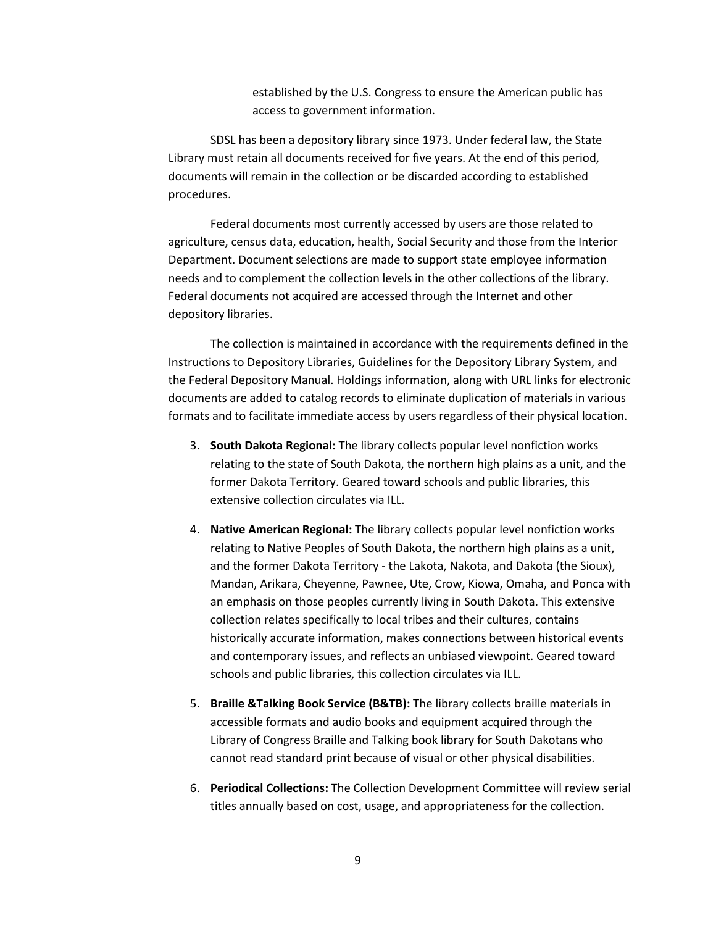established by the U.S. Congress to ensure the American public has access to government information.

SDSL has been a depository library since 1973. Under federal law, the State Library must retain all documents received for five years. At the end of this period, documents will remain in the collection or be discarded according to established procedures.

Federal documents most currently accessed by users are those related to agriculture, census data, education, health, Social Security and those from the Interior Department. Document selections are made to support state employee information needs and to complement the collection levels in the other collections of the library. Federal documents not acquired are accessed through the Internet and other depository libraries.

The collection is maintained in accordance with the requirements defined in the Instructions to Depository Libraries, Guidelines for the Depository Library System, and the Federal Depository Manual. Holdings information, along with URL links for electronic documents are added to catalog records to eliminate duplication of materials in various formats and to facilitate immediate access by users regardless of their physical location.

- 3. **South Dakota Regional:** The library collects popular level nonfiction works relating to the state of South Dakota, the northern high plains as a unit, and the former Dakota Territory. Geared toward schools and public libraries, this extensive collection circulates via ILL.
- 4. **Native American Regional:** The library collects popular level nonfiction works relating to Native Peoples of South Dakota, the northern high plains as a unit, and the former Dakota Territory - the Lakota, Nakota, and Dakota (the Sioux), Mandan, Arikara, Cheyenne, Pawnee, Ute, Crow, Kiowa, Omaha, and Ponca with an emphasis on those peoples currently living in South Dakota. This extensive collection relates specifically to local tribes and their cultures, contains historically accurate information, makes connections between historical events and contemporary issues, and reflects an unbiased viewpoint. Geared toward schools and public libraries, this collection circulates via ILL.
- 5. **Braille &Talking Book Service (B&TB):** The library collects braille materials in accessible formats and audio books and equipment acquired through the Library of Congress Braille and Talking book library for South Dakotans who cannot read standard print because of visual or other physical disabilities.
- 6. **Periodical Collections:** The Collection Development Committee will review serial titles annually based on cost, usage, and appropriateness for the collection.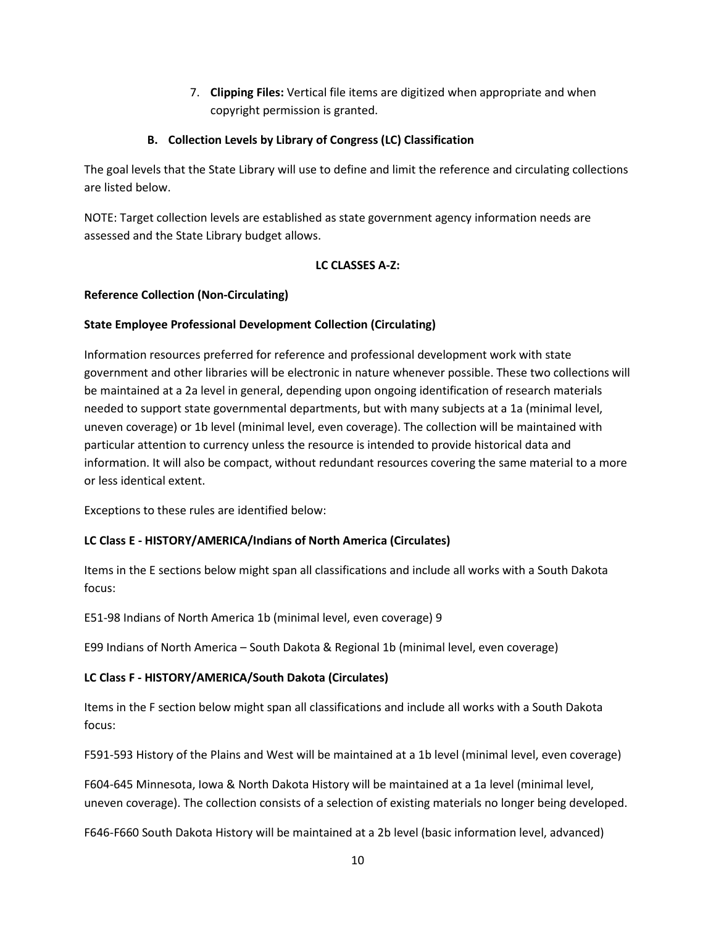7. **Clipping Files:** Vertical file items are digitized when appropriate and when copyright permission is granted.

## **B. Collection Levels by Library of Congress (LC) Classification**

The goal levels that the State Library will use to define and limit the reference and circulating collections are listed below.

NOTE: Target collection levels are established as state government agency information needs are assessed and the State Library budget allows.

## **LC CLASSES A-Z:**

## **Reference Collection (Non-Circulating)**

## **State Employee Professional Development Collection (Circulating)**

Information resources preferred for reference and professional development work with state government and other libraries will be electronic in nature whenever possible. These two collections will be maintained at a 2a level in general, depending upon ongoing identification of research materials needed to support state governmental departments, but with many subjects at a 1a (minimal level, uneven coverage) or 1b level (minimal level, even coverage). The collection will be maintained with particular attention to currency unless the resource is intended to provide historical data and information. It will also be compact, without redundant resources covering the same material to a more or less identical extent.

Exceptions to these rules are identified below:

# **LC Class E - HISTORY/AMERICA/Indians of North America (Circulates)**

Items in the E sections below might span all classifications and include all works with a South Dakota focus:

E51-98 Indians of North America 1b (minimal level, even coverage) 9

E99 Indians of North America – South Dakota & Regional 1b (minimal level, even coverage)

## **LC Class F - HISTORY/AMERICA/South Dakota (Circulates)**

Items in the F section below might span all classifications and include all works with a South Dakota focus:

F591-593 History of the Plains and West will be maintained at a 1b level (minimal level, even coverage)

F604-645 Minnesota, Iowa & North Dakota History will be maintained at a 1a level (minimal level, uneven coverage). The collection consists of a selection of existing materials no longer being developed.

F646-F660 South Dakota History will be maintained at a 2b level (basic information level, advanced)